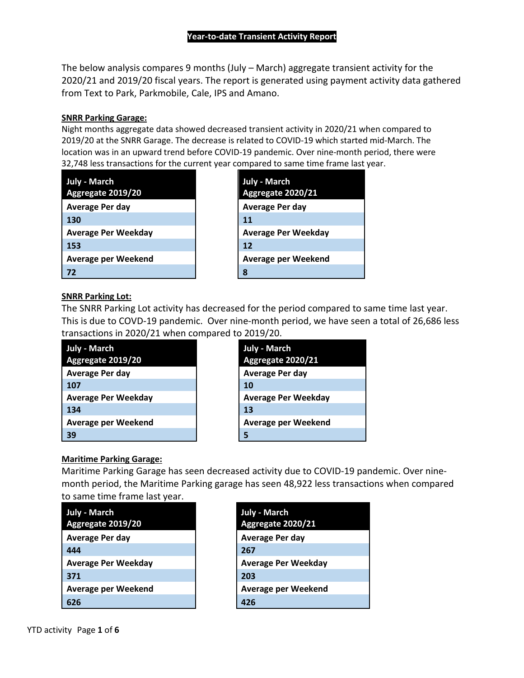The below analysis compares 9 months (July – March) aggregate transient activity for the 2020/21 and 2019/20 fiscal years. The report is generated using payment activity data gathered from Text to Park, Parkmobile, Cale, IPS and Amano.

#### **SNRR Parking Garage:**

Night months aggregate data showed decreased transient activity in 2020/21 when compared to 2019/20 at the SNRR Garage. The decrease is related to COVID-19 which started mid-March. The location was in an upward trend before COVID-19 pandemic. Over nine-month period, there were 32,748 less transactions for the current year compared to same time frame last year.

| July - March               | <b>July - March</b>        |
|----------------------------|----------------------------|
| Aggregate 2019/20          | Aggregate 2020/21          |
| <b>Average Per day</b>     | <b>Average Per day</b>     |
| 130                        | 11                         |
| <b>Average Per Weekday</b> | <b>Average Per Weekday</b> |
| 153                        | 12                         |
| Average per Weekend        | <b>Average per Weekend</b> |
| 72                         | 8                          |

| <b>July - March</b><br>Aggregate 2020/21 |
|------------------------------------------|
| <b>Average Per day</b>                   |
| 11                                       |
| <b>Average Per Weekday</b>               |
| 12                                       |
| Average per Weekend                      |
| 8                                        |

### **SNRR Parking Lot:**

The SNRR Parking Lot activity has decreased for the period compared to same time last year. This is due to COVD-19 pandemic. Over nine-month period, we have seen a total of 26,686 less transactions in 2020/21 when compared to 2019/20.

| <b>July - March</b>        | Jul |
|----------------------------|-----|
| Aggregate 2019/20          | Ag  |
| <b>Average Per day</b>     | Av  |
| 107                        | 10  |
| <b>Average Per Weekday</b> | Aν  |
| 134                        | 13  |
| <b>Average per Weekend</b> | Aν  |
| 39                         |     |



### **Maritime Parking Garage:**

Maritime Parking Garage has seen decreased activity due to COVID-19 pandemic. Over ninemonth period, the Maritime Parking garage has seen 48,922 less transactions when compared to same time frame last year.

| <b>July - March</b><br>Aggregate 2019/20 | <b>July - March</b><br>Aggregate 2020/21 |
|------------------------------------------|------------------------------------------|
| Average Per day                          | Average Per day                          |
| 444                                      | 267                                      |
| <b>Average Per Weekday</b>               | <b>Average Per Weekday</b>               |
| 371                                      | 203                                      |
| Average per Weekend                      | <b>Average per Weekend</b>               |
| 626                                      | 426                                      |

| <b>July - March</b>    |
|------------------------|
| Aggregate 2020/21      |
| <b>Average Per day</b> |
| 267                    |
| Average Per Weekday    |
| 203                    |
| Average per Weekend    |
| 426                    |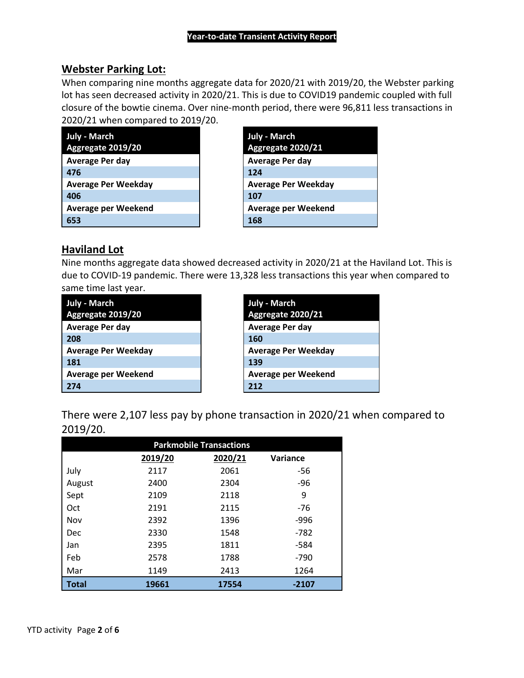## **Webster Parking Lot:**

When comparing nine months aggregate data for 2020/21 with 2019/20, the Webster parking lot has seen decreased activity in 2020/21. This is due to COVID19 pandemic coupled with full closure of the bowtie cinema. Over nine-month period, there were 96,811 less transactions in 2020/21 when compared to 2019/20.

| <b>July - March</b>        | <b>July - March</b>        |
|----------------------------|----------------------------|
| Aggregate 2019/20          | Aggregate 2020/21          |
| Average Per day            | Average Per day            |
| 476                        | 124                        |
| <b>Average Per Weekday</b> | <b>Average Per Weekday</b> |
| 406                        | 107                        |
| <b>Average per Weekend</b> | <b>Average per Weekend</b> |
| 653                        | 168                        |

| <b>July - March</b>        |
|----------------------------|
| Aggregate 2020/21          |
| <b>Average Per day</b>     |
| 124                        |
| Average Per Weekday        |
| 107                        |
| <b>Average per Weekend</b> |
| 168                        |

## **Haviland Lot**

Nine months aggregate data showed decreased activity in 2020/21 at the Haviland Lot. This is due to COVID-19 pandemic. There were 13,328 less transactions this year when compared to same time last year.

| July - March<br>Aggregate 2019/20 | July - March<br>Aggregate 2020/21 |
|-----------------------------------|-----------------------------------|
| <b>Average Per day</b>            | <b>Average Per day</b>            |
| 208                               | 160                               |
| <b>Average Per Weekday</b>        | <b>Average Per Weekday</b>        |
| 181                               | 139                               |
| <b>Average per Weekend</b>        | <b>Average per Weekend</b>        |
| 274                               | 212                               |

| <b>July - March</b>    |
|------------------------|
| Aggregate 2020/21      |
| <b>Average Per day</b> |
| 160                    |
| Average Per Weekday    |
| 139                    |
| Average per Weekend    |
| 212                    |

There were 2,107 less pay by phone transaction in 2020/21 when compared to 2019/20.

| <b>Parkmobile Transactions</b> |         |         |          |
|--------------------------------|---------|---------|----------|
|                                | 2019/20 | 2020/21 | Variance |
| July                           | 2117    | 2061    | -56      |
| August                         | 2400    | 2304    | -96      |
| Sept                           | 2109    | 2118    | 9        |
| Oct                            | 2191    | 2115    | -76      |
| Nov                            | 2392    | 1396    | -996     |
| Dec                            | 2330    | 1548    | -782     |
| Jan                            | 2395    | 1811    | -584     |
| Feb                            | 2578    | 1788    | -790     |
| Mar                            | 1149    | 2413    | 1264     |
| Total                          | 19661   | 17554   | -2107    |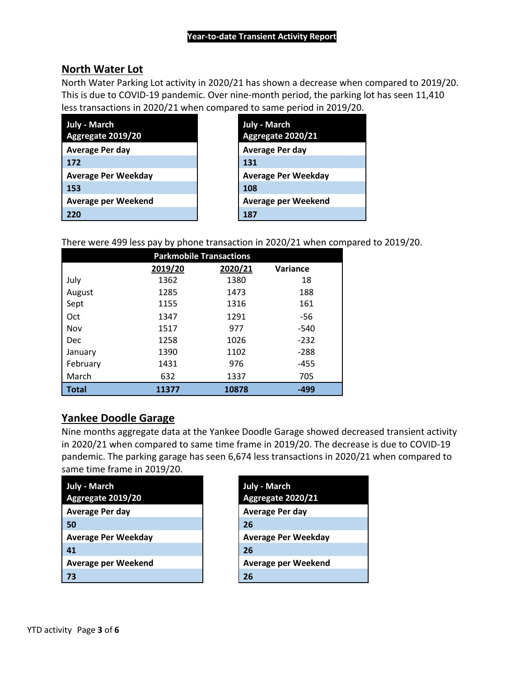## **North Water Lot**

North Water Parking Lot activity in 2020/21 has shown a decrease when compared to 2019/20. This is due to COVID-19 pandemic. Over nine-month period, the parking lot has seen 11,410 less transactions in 2020/21 when compared to same period in 2019/20.

| July - March<br>Aggregate 2019/20 | <b>July - March</b><br>Aggregate 2020/21 |
|-----------------------------------|------------------------------------------|
| Average Per day                   | Average Per day                          |
| 172                               | 131                                      |
| <b>Average Per Weekday</b>        | <b>Average Per Weekday</b>               |
| 153                               | 108                                      |
| <b>Average per Weekend</b>        | <b>Average per Weekend</b>               |
| 220                               | 187                                      |

There were 499 less pay by phone transaction in 2020/21 when compared to 2019/20.

| <b>Parkmobile Transactions</b> |         |         |          |
|--------------------------------|---------|---------|----------|
|                                | 2019/20 | 2020/21 | Variance |
| July                           | 1362    | 1380    | 18       |
| August                         | 1285    | 1473    | 188      |
| Sept                           | 1155    | 1316    | 161      |
| Oct                            | 1347    | 1291    | -56      |
| Nov                            | 1517    | 977     | $-540$   |
| Dec                            | 1258    | 1026    | $-232$   |
| January                        | 1390    | 1102    | $-288$   |
| February                       | 1431    | 976     | $-455$   |
| March                          | 632     | 1337    | 705      |
| Total                          | 11377   | 10878   | -499     |

## **Yankee Doodle Garage**

Nine months aggregate data at the Yankee Doodle Garage showed decreased transient activity in 2020/21 when compared to same time frame in 2019/20. The decrease is due to COVID-19 pandemic. The parking garage has seen 6,674 less transactions in 2020/21 when compared to same time frame in 2019/20.

| <b>July - March</b><br>Aggregate 2019/20 | <b>July - March</b><br>Aggregate 2020/21 |
|------------------------------------------|------------------------------------------|
| <b>Average Per day</b>                   | <b>Average Per day</b>                   |
| 50                                       | 26                                       |
| <b>Average Per Weekday</b>               | <b>Average Per Weekday</b>               |
| 41                                       | 26                                       |
| Average per Weekend                      | <b>Average per Weekend</b>               |
| 73                                       | 26                                       |

| <b>July - March</b><br>Aggregate 2020/21 |
|------------------------------------------|
| Average Per day                          |
| 26                                       |
| Average Per Weekday                      |
| 26                                       |
| Average per Weekend                      |
| 26                                       |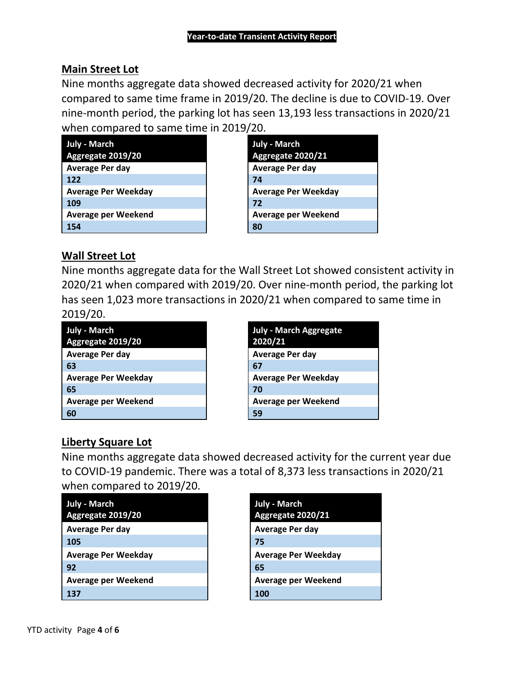# **Main Street Lot**

Nine months aggregate data showed decreased activity for 2020/21 when compared to same time frame in 2019/20. The decline is due to COVID-19. Over nine-month period, the parking lot has seen 13,193 less transactions in 2020/21 when compared to same time in 2019/20.

| July - March               | <b>July - March</b>        |  |
|----------------------------|----------------------------|--|
| Aggregate 2019/20          | Aggregate 2020/21          |  |
| <b>Average Per day</b>     | Average Per day            |  |
| 122                        | 74                         |  |
| <b>Average Per Weekday</b> | <b>Average Per Weekday</b> |  |
| 109                        | 72                         |  |
| <b>Average per Weekend</b> | Average per Weekend        |  |
| 154                        | 80                         |  |

## **Wall Street Lot**

Nine months aggregate data for the Wall Street Lot showed consistent activity in 2020/21 when compared with 2019/20. Over nine-month period, the parking lot has seen 1,023 more transactions in 2020/21 when compared to same time in 2019/20.

| <b>July - March</b>        | July - March Aggregate     |
|----------------------------|----------------------------|
| Aggregate 2019/20          | 2020/21                    |
| Average Per day            | Average Per day            |
| -63                        | 67                         |
| <b>Average Per Weekday</b> | <b>Average Per Weekday</b> |
| -65                        | 70                         |
| Average per Weekend        | <b>Average per Weekend</b> |
| -60                        | 59                         |

| <b>July - March Aggregate</b><br>2020/21 |
|------------------------------------------|
| <b>Average Per day</b>                   |
| 67                                       |
| <b>Average Per Weekday</b>               |
| 70                                       |
| <b>Average per Weekend</b>               |
| 59                                       |

# **Liberty Square Lot**

Nine months aggregate data showed decreased activity for the current year due to COVID-19 pandemic. There was a total of 8,373 less transactions in 2020/21 when compared to 2019/20.

| <b>July - March</b>        | July - March               |  |
|----------------------------|----------------------------|--|
| Aggregate 2019/20          | Aggregate 2020/21          |  |
| <b>Average Per day</b>     | <b>Average Per day</b>     |  |
| 105                        | 75                         |  |
| <b>Average Per Weekday</b> | <b>Average Per Weekday</b> |  |
| 92                         | 65                         |  |
| <b>Average per Weekend</b> | <b>Average per Weekend</b> |  |
| 137                        | 100                        |  |

| <b>July - March</b><br>Aggregate 2020/21 |
|------------------------------------------|
| Average Per day                          |
| 75                                       |
| Average Per Weekday                      |
| 65                                       |
| Average per Weekend                      |
| 100                                      |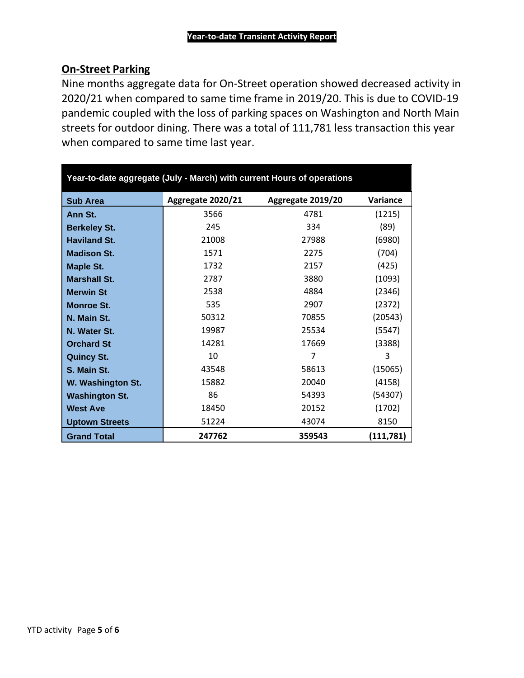# **On-Street Parking**

Nine months aggregate data for On-Street operation showed decreased activity in 2020/21 when compared to same time frame in 2019/20. This is due to COVID-19 pandemic coupled with the loss of parking spaces on Washington and North Main streets for outdoor dining. There was a total of 111,781 less transaction this year when compared to same time last year.

| Year-to-date aggregate (July - March) with current Hours of operations |                   |                   |                 |  |  |
|------------------------------------------------------------------------|-------------------|-------------------|-----------------|--|--|
| <b>Sub Area</b>                                                        | Aggregate 2020/21 | Aggregate 2019/20 | <b>Variance</b> |  |  |
| Ann St.                                                                | 3566              | 4781              | (1215)          |  |  |
| <b>Berkeley St.</b>                                                    | 245               | 334               | (89)            |  |  |
| <b>Haviland St.</b>                                                    | 21008             | 27988             | (6980)          |  |  |
| <b>Madison St.</b>                                                     | 1571              | 2275              | (704)           |  |  |
| <b>Maple St.</b>                                                       | 1732              | 2157              | (425)           |  |  |
| <b>Marshall St.</b>                                                    | 2787              | 3880              | (1093)          |  |  |
| <b>Merwin St</b>                                                       | 2538              | 4884              | (2346)          |  |  |
| <b>Monroe St.</b>                                                      | 535               | 2907              | (2372)          |  |  |
| N. Main St.                                                            | 50312             | 70855             | (20543)         |  |  |
| N. Water St.                                                           | 19987             | 25534             | (5547)          |  |  |
| <b>Orchard St</b>                                                      | 14281             | 17669             | (3388)          |  |  |
| <b>Quincy St.</b>                                                      | 10                | 7                 | 3               |  |  |
| S. Main St.                                                            | 43548             | 58613             | (15065)         |  |  |
| W. Washington St.                                                      | 15882             | 20040             | (4158)          |  |  |
| <b>Washington St.</b>                                                  | 86                | 54393             | (54307)         |  |  |
| <b>West Ave</b>                                                        | 18450             | 20152             | (1702)          |  |  |
| <b>Uptown Streets</b>                                                  | 51224             | 43074             | 8150            |  |  |
| <b>Grand Total</b>                                                     | 247762            | 359543            | (111,781)       |  |  |